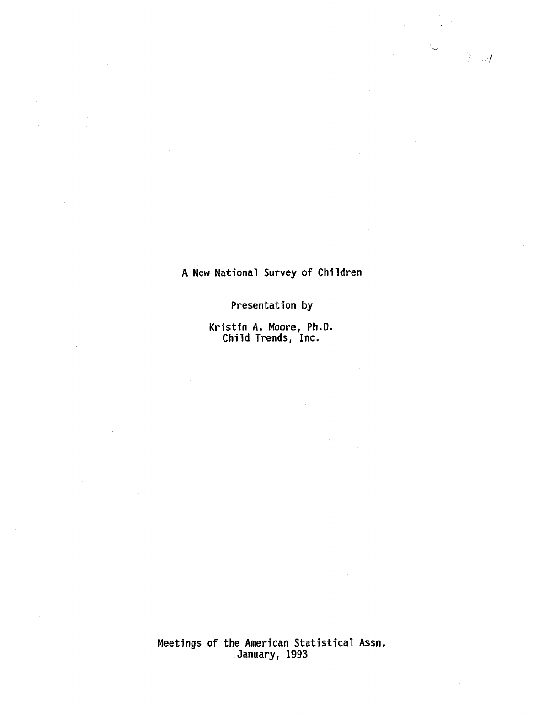# A New National Survey of Children

, :**~**

Presentation by

Kristin A. Moore, Ph.D. Chi!d Trends, Inc.

Meetings of the American Statistical Assn . January~ 1993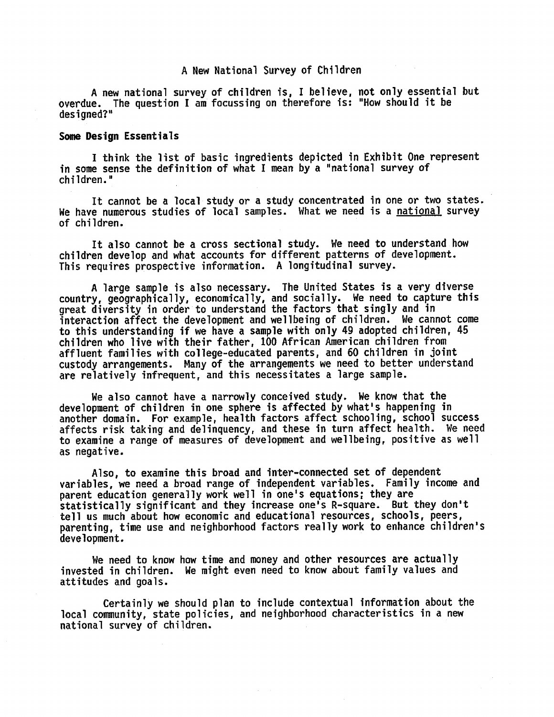### A New National Survey of Children

A new national survey of children is, I believe, not only essential but overdue. The question I am focussing on therefore is: "How should it be designed? "

#### **Some Design Essentials**

I think the list of basic ingredients depicted in Exhibit One represent in some sense the definition of what I mean by a "national survey of ehildren . "

It cannot be a local study or a study concentrated in one or two states. We have numerous studies of local samples. What we need is a <u>national</u> survey of children .

It also cannot be a cross sectional study. We need to understand how children develop and what accounts for different patterns of development. This requires prospective information. A longitudinal survey.

A large sample is also necessary. The United States is a very diverse country, geographically, economically, and socially. We need to capture this great diversity in order to understand the factors that singly and in interaction affect the development and wellbeing of children. We cannot come to this understanding if we have a sample with only 49 adopted children, 45 children who live with their father, 1DD African American children from affluent families with college-educated parents, and 60 children in joint custody arrangements. Many of the arrangements we need to better understand are relatively infrequent. and this necessitates a large sample.

We also cannot have a narrowly conceived study. We know that the development of children in one sphere is affected by what's happening in another domain. For example, health factors affect schooling, school success affects risk taking and delinquency, and these in turn affect health. We need to examine a range of measures of development and wellbeing, positive as well as negative .

Also, to examine this broad and inter-connected set of dependent variables, we need a broad range of independent variables. Family income and parent education generally work well in one's equations; they are statistically significant and they increase one's R-square. But they don't tell us much about how economic and educational resources, schools, peers, parenting, time use and neighborhood factors really work to enhance children's development .

We need to know how time and money and other resources are actually invested in children. We might even need to know about family values and attitudes and goals .

Certainly we should plan to include contextual information about the local community, state policies, and neighborhood characteristics in a new national survey of children.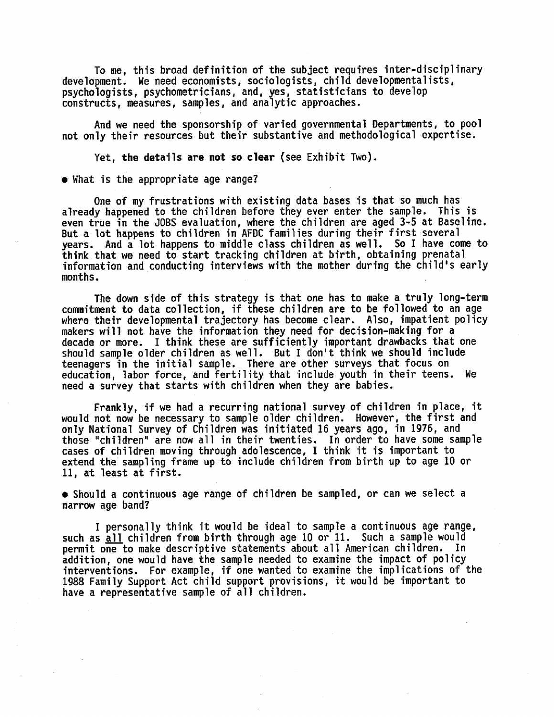To me, this broad definition of the subject requires inter-disciplinary development. We need economists, sociologists, child developmentalists, psychologists, psychometricians, and, yes, statisticians to develop constructs, measures, samples, and analytic approaches.

And we need the sponsorship of varied governmental Departments, to pool not only their resources but their substantive and methodological expertise.

Yet, the details are not so clear (see Exhibit Two).

• What is the appropriate age range?

One of my frustrations with existing data bases is that so much has already happened to the children before they ever enter the sample. This is even true in the JOBS evaluation, where the children are aged 3-5 at Baseline. But a lat happens to children in AFDC families during their first several years. And a lot happens to middle class children as well. So I have come to think that we need to start tracking children at birth, obtaining prenatal information and conducting interviews with the mother during the child's early manths .

The down side af this strategy is that one has to make a truly long-term commitment to data collection, if these children are to be followed to an age where their developmental trajectory has become clear. Also, impatient policy makers will not have the information they need for decision-making for a decade or more. I think these are sufficiently important drawbacks that one should sample older chi1dren as well . But I don't think we should include teenagers in the initial sample. There are other surveys that focus on education, labor force, and fertility that include youth in their teens. We need a survey that starts with children when they are babies.

Frankly, if we had a recurring national survey of children in place, it would not now be necessary to sample older children. However, the first and only National Survey of Children was initiated 16 years ago, in 1976, and those "children" are now all in their twenties. In order to have some sample cases of children moving through adolescence, I think it is important to extend the sampling frame up to include children from birth up to age 10 or 11, at least at first.

• Should a continuous age range of children be sampled, or can we select a narrow aqe band?

I personally think it would be ideal to sample a continuous age range, such as all children from birth through age 10 or 11. Such a sample would permit one to make descriptive statements about all American children. In addition, one would have the sample needed to examine the impact of policy interventions. For example, if one wanted to examine the implications of the 1988 Family Support Act child support provisions, it would be important to have a representative sample of all children.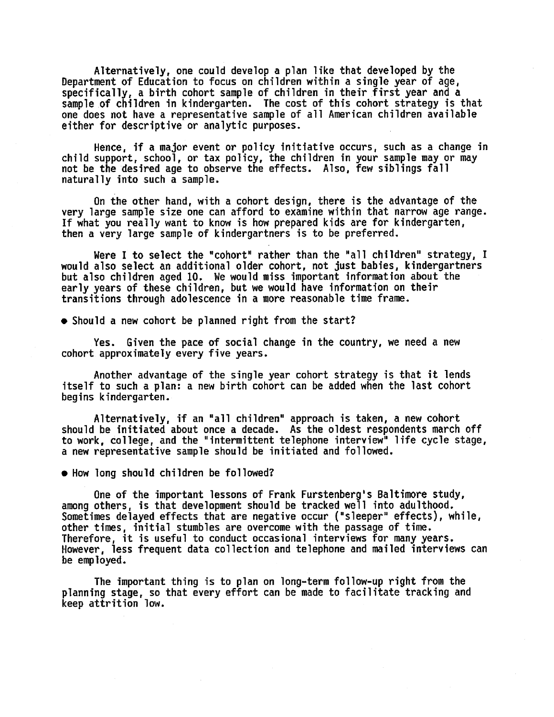Alternatively, one could develop a plan like that developed by the Department of Education to focus on children within a single year of age, specifically, a birth cohort sample of children in their first year and a sample of children in kindergarten. The cost of this cohort strategy is that one does not have a representative sample of all American children available either for descriptive or analytic purposes .

Hence, if a major event or policy initiative occurs, such as a change in child support, school, or tax policy, the children in your sample may or may not be the desired age to observe the effects. Also, few siblings fall naturally into such a sample.

On the other hand, with a cohort design, there is the advantage of the very large sample size one can afford to examine within that narrow age range. If what you really want to know is how prepared kids are for kindergarten, then a very large sample of kindergartners is to be preferred.

Were I to select the "cohort" rather than the "all children" strategy, I would also select an additional older cohort, not just babies, kindergartners but also children aged 10. We would miss important information about the early years of these children, but we would have information on their transitions through adolescence in a more reasonable time frame .

• Should a new cohort be planned right from the start?

Yes. Given the pace of social change in the country, we need a new cohort approximately every five years.

Another advantage of the single year cohort strategy is that it lends itself to such a plan: a new birth cohort can be added when the last cohort begins kindergarten .

Alternatively, if an "all children" approach is taken, a new cohort should be initiated about once a decade. As the oldest respondents march off to work, college, and the "intermittent telephone interview" life cycle stage, a new representative sample should be initiated and fo1lawed .

• How long should children be followed?

One of the important lessons of Frank Furstenberg's Baltimore study, among others, is that development should be tracked well into adulthood. Sometimes delayed effects that are negative occur ("s1eeper" effects), while, other times, initial stumbles are overcome with the passage of time. Therefore, it is useful to conduct occasional interviews for many years. However, less frequent data collection and telephone and mailed interviews can be employed.

The important thing is to plan on long-term follow-up right from the planning stage, so that every effort can be made to facilitate tracking and keep attrition low .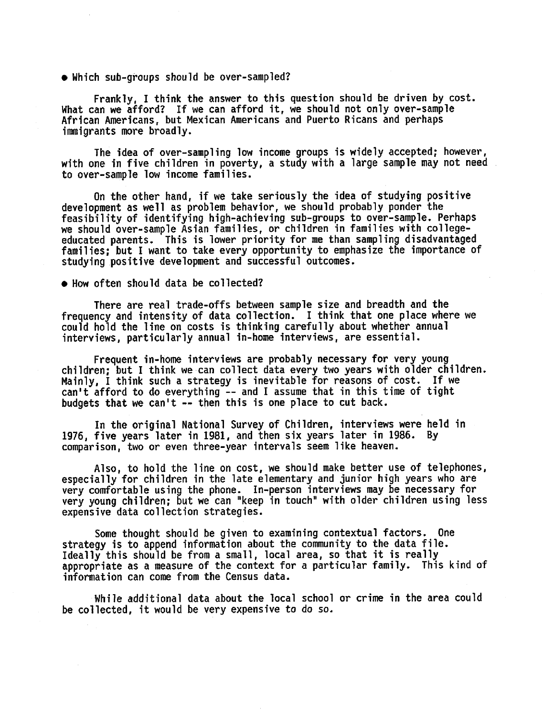• Which sub-groups should be over-sampled?

Frankly, I think the answer to this question should be driven by cost. What can we afford? If we can afford it, we should not only over-samp1e African Americans, but Mexican Americans and Puerto Ricans and perhaps  $imminants$  more broadly.

The idea of over-sampling low income groups is widely accepted; however, with one in five children in poverty, a study with a large sample may not need to over-sample low income families.

On the other hand, if we take seriously the idea of studying positive development as well as problem behavior, we should probably ponder the feasibility of identifying high-achieving sub-groups to over-sample. Perhaps we should over-sample Asian families, or children in families with collegeeducated parents. This is lower priority for me than sampling disadvantaged families: but I want to take every opportunity to emphasize the importance of studying positive development and successful outcomes.

#### $\bullet$  How often should data be collected?

There are real trade-offs between sample size and breadth and the frequency and intensity of data collection. I think that one place where we could hold the line on costs is thinking carefully about whether annual interviews, particularly annual in-home interviews, are essential.

Frequent in-home interviews are prabably necessary for very young children; but I think we can collect data every two years with older children. Mainly, I think such a strategy is inevitable for reasons of cost. If we  $can't$  afford to do everything  $--$  and I assume that in this time of tight budgets that we can't  $-$ - then this is one place to cut back.

In the original National Survey of Children, interviews were held in 1976, five years later in 1981, and then six years later in 1986. By comparison, two or even three-year intervals seem like heaven.

Also, to hold the line on cost, we should make better use of telephones, especially for children in the late elementary and junior high years who are very comfortable using the phone. In-person interviews may be necessary for very young children; but we can "keep in touch" with older children using less expensive data collection strategies.

Some thought should be given to examining contextual factors. One strategy is to append information about the community to the data file. Ideally this should be from a small, local area, so that it is really appropriate as a measure of the context for a particular family. This kind of information can come from the Census data.

While additional data about the local school or crime in the area could be collected, it would be very expensive to do so.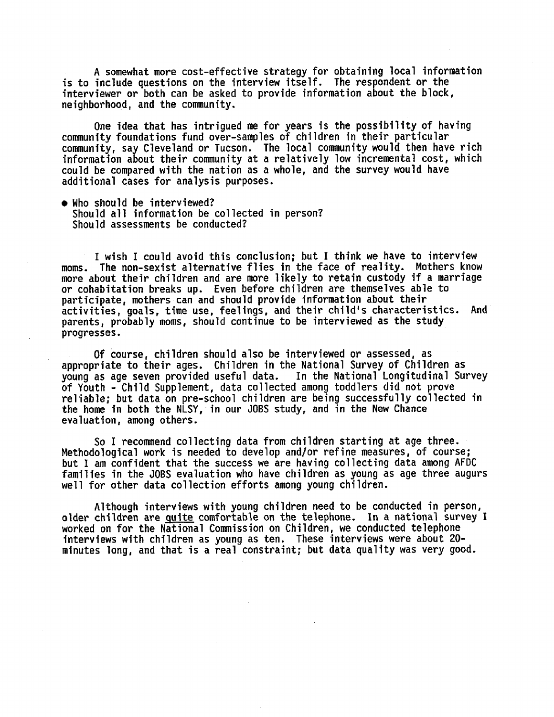A somewhat more cost-effective strategy for obtaining local information is to include questions on the interview itself. The respondent or the interviewer or both can be asked to provide information about the block, neighborhood, and the community.

Une idea that has intrigued me for years is the possibiiity of having community foundations fund over-samples of children in their particular community, say Cleveland or Tucson. The local community would then have rich information about their community at a relatively low incrementa! cost, which could be compared with the nation as a whole, and the survey would have additianal cases for analysis purposes .

• Who should be interviewed? Should all information be collected in person? Should assessments be conducted?

I wish I could avoid this conclusion; but I think we have to interview moms. The non-sexist alternative flies in the face of reality. Mothers know more about their children and are more likely to retain custody if a marriage or cohabitation breaks up. Even before children are themselves able to participate, mothers can and should provide information about their activities, goals, time use, feelings, and their child's characteristics. And parents, probably moms, should continue to be interviewed as the study progresses.

Of course, children should also be interviewed or assessed, as appropriate to their ages. Children in the National Survey of Children as<br>young as age seven provided useful data. In the National Longitudinal Survey young as age seven provided useful data. of Youth - Child Supplement, data collected among toddlers did not prove reliable; but data on pre-school children are being successfully collected in the home in both the NLSY, in our JOBS study, and in the New Chance evaluation, among others.

So I recommend collecting data from chi1dren starting at age three . Methodological work is needed to develop and/or refine measures, of course; but I am confident that the success we are having collecting data among AFDC families in the JOBS evaluation who have children as young as age three augurs well for other data collection efforts among young children.

Although interviews with young children need to be conducted in person, older children are quite comfortable on the telephone. In a national survey I worked on for the National Commission on Children, we conducted telephone interviews with children as young as ten. These interviews were about  $20$ minutes long, and that is a real constraint; but data quality was very good.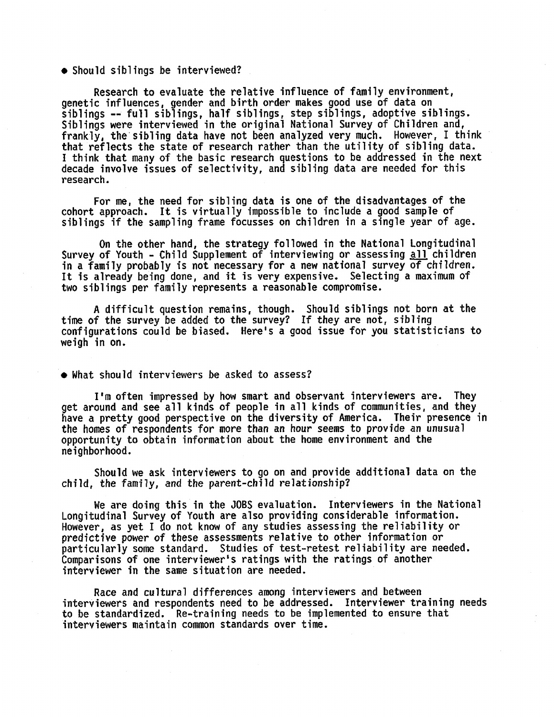• Should siblings be interviewed?

Research to evaluate the relative influence of family environment, genetic influences, gender and birth order makes good use of data on siblings -- full siblings, half siblings, step siblings, adoptive siblings. Siblings were interviewed in the original National Survey of Children and, frankly, the sibling data have not been analyzed very much. However, I think that reflects the state of research rather than the utility of sibling data. I think that many of the basic research questions to be addressed in the next decade involve issues of selectivity, and sibling data are needed for this **research .**

For me, the need for sibling data is one of the disadvantages of the **cohort approach . It 7s virtually impossible to incTude a gaad sampie of** siblings if the sampling frame focusses on children in a single year of age.

On the other hand, the strategy followed in the National Longitudinal **Survey of Youth - Child Supplement of interviewing or assessing all children** in a family probably is not necessary for a new national survey of children. It is already being done, and it is very expensive. Selecting a maximum of two siblings per family represents a reasonable compromise.

A difficult question remains, though. Should siblings not born at the time of the survey be added to the survey? If they are not, sibling **configurations could be biased. Here's a good issue for you statisticians to weigh in on .**

• What should interviewers be asked to assess?

I'm often impressed by how smart and observant interviewers are. They get around and see all kinds of people in all kinds of communities, and they have a pretty good perspective on the diversity of America. Their presence in the homes of respondents for more than an hour seems to provide an unusual opportunity to obtain information about the home environment and the neighborhoad .

Should we ask interviewers to go on and provide additional data on the child, the family, and the parent-child relationship?

We are doing this in the JOBS evaluation. Interviewers in the National Longitudinal Survey of Youth are also providing considerable information. However, as yet I do not know of any studies assessing the reliability or predictive power of these assessments relative to other information or particularly some standard. Studies of test-retest reliability are needed. Comparisons of one interviewer's ratings with the ratings of another interviewer in the same situation are needed.

Race and cultural differenees among interviewers and between interviewers and respondents need to be addressed. Interviewer training needs to be standardized. Re-training needs to be implemented to ensure that interviewers maintain common standards over time .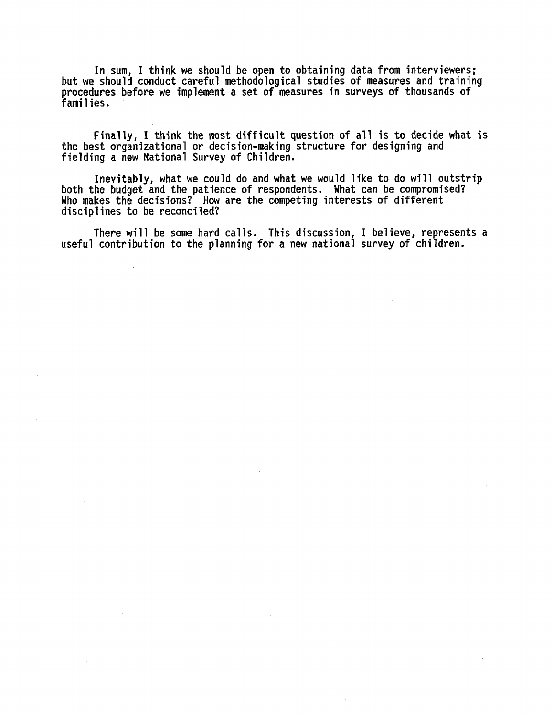In sum, I think we should be open to obtaining data from interviewers; but we should eonduct careful methodolagical studies of ineasures and training procedures before we implement a set of measures in surveys of thousands of families .

Finally, I think the most difficult question of all is to decide what is the best organizational or decision-making structure for designing and fielding a new National Survey of Children.

Inevitably, what we could do and what we would like to do will outstrip both the budget and the patience of respondents. What can be compromised? Who makes the decisions? How are the competing interests of different disciplines to be reconciled?

There will be some hard calls. This discussion, I believe, represents a useful contribution to the planning for a new national survey of children.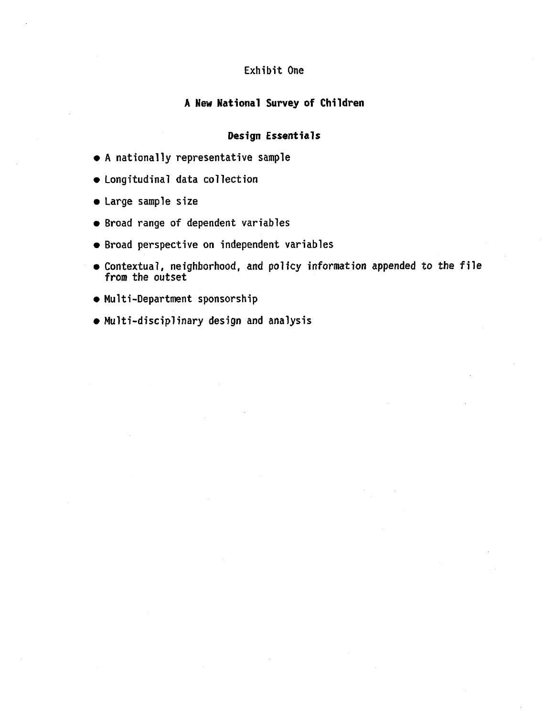## Exhibit One

## A New National Survey of Children

## Design Essentials

- A nationally representative sample
- Longitudinal data collection
- **~** Large sample siz e
- Broad range of dependent variables
- Broad perspective on independent variables
- Contextual, neighborhood, and policy information appended to the file from the outset
- Multi-Department sponsorship
- Multi-disciplinary design and analysis